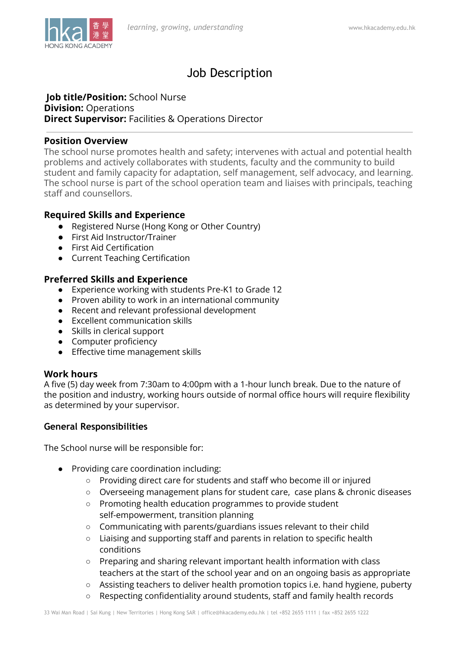

# Job Description

#### **Job title/Position:** School Nurse **Division:** Operations **Direct Supervisor:** Facilities & Operations Director

### **Position Overview**

The school nurse promotes health and safety; intervenes with actual and potential health problems and actively collaborates with students, faculty and the community to build student and family capacity for adaptation, self management, self advocacy, and learning. The school nurse is part of the school operation team and liaises with principals, teaching staff and counsellors.

# **Required Skills and Experience**

- Registered Nurse (Hong Kong or Other Country)
- First Aid Instructor/Trainer
- First Aid Certification
- Current Teaching Certification

# **Preferred Skills and Experience**

- Experience working with students Pre-K1 to Grade 12
- Proven ability to work in an international community
- Recent and relevant professional development
- Excellent communication skills
- Skills in clerical support
- Computer proficiency
- Effective time management skills

# **Work hours**

A five (5) day week from 7:30am to 4:00pm with a 1-hour lunch break. Due to the nature of the position and industry, working hours outside of normal office hours will require flexibility as determined by your supervisor.

# **General Responsibilities**

The School nurse will be responsible for:

- Providing care coordination including:
	- Providing direct care for students and staff who become ill or injured
	- Overseeing management plans for student care, case plans & chronic diseases
	- Promoting health education programmes to provide student self-empowerment, transition planning
	- Communicating with parents/guardians issues relevant to their child
	- Liaising and supporting staff and parents in relation to specific health conditions
	- Preparing and sharing relevant important health information with class teachers at the start of the school year and on an ongoing basis as appropriate
	- Assisting teachers to deliver health promotion topics i.e. hand hygiene, puberty
	- Respecting confidentiality around students, staff and family health records